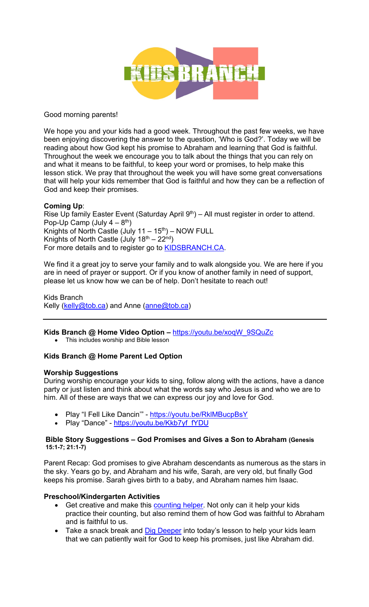

Good morning parents!

We hope you and your kids had a good week. Throughout the past few weeks, we have been enjoying discovering the answer to the question, 'Who is God?'. Today we will be reading about how God kept his promise to Abraham and learning that God is faithful. Throughout the week we encourage you to talk about the things that you can rely on and what it means to be faithful, to keep your word or promises, to help make this lesson stick. We pray that throughout the week you will have some great conversations that will help your kids remember that God is faithful and how they can be a reflection of God and keep their promises.

## **Coming Up**:

Rise Up family Easter Event (Saturday April  $9<sup>th</sup>$ ) – All must register in order to attend. Pop-Up Camp (July  $4-8^{th}$ ) Knights of North Castle (July  $11 - 15$ <sup>th</sup>) – NOW FULL Knights of North Castle (July  $18<sup>th</sup> - 22<sup>nd</sup>$ ) For more details and to register go to **KIDSBRANCH.CA**.

We find it a great joy to serve your family and to walk alongside you. We are here if you are in need of prayer or support. Or if you know of another family in need of support, please let us know how we can be of help. Don't hesitate to reach out!

Kids Branch Kelly (kelly@tob.ca) and Anne (anne@tob.ca)

**Kids Branch @ Home Video Option –** https://youtu.be/xoqW\_9SQuZc

• This includes worship and Bible lesson

## **Kids Branch @ Home Parent Led Option**

#### **Worship Suggestions**

During worship encourage your kids to sing, follow along with the actions, have a dance party or just listen and think about what the words say who Jesus is and who we are to him. All of these are ways that we can express our joy and love for God.

- Play "I Fell Like Dancin'" https://youtu.be/RklMBucpBsY
- Play "Dance" https://youtu.be/Kkb7yf\_fYDU

#### **Bible Story Suggestions – God Promises and Gives a Son to Abraham (Genesis 15:1-7; 21:1-7)**

Parent Recap: God promises to give Abraham descendants as numerous as the stars in the sky. Years go by, and Abraham and his wife, Sarah, are very old, but finally God keeps his promise. Sarah gives birth to a baby, and Abraham names him Isaac.

## **Preschool/Kindergarten Activities**

- Get creative and make this counting helper. Not only can it help your kids practice their counting, but also remind them of how God was faithful to Abraham and is faithful to us.
- Take a snack break and Dig Deeper into today's lesson to help your kids learn that we can patiently wait for God to keep his promises, just like Abraham did.